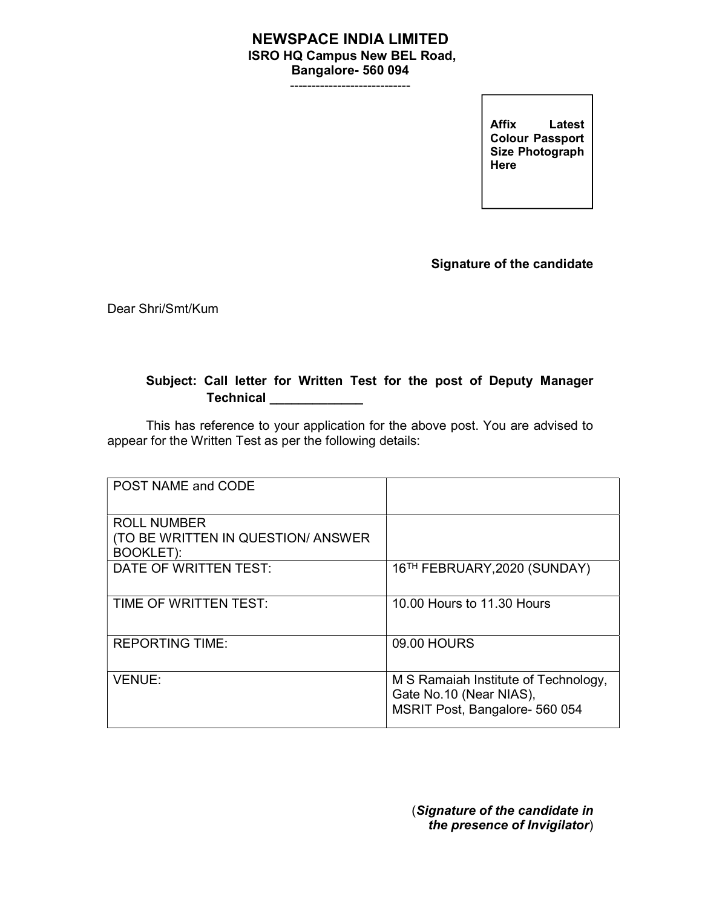## NEWSPACE INDIA LIMITED ISRO HQ Campus New BEL Road, Bangalore- 560 094

----------------------------

Allix Latest<br>Colour Passport Affix Latest Size Photograph Here

Signature of the candidate

Dear Shri/Smt/Kum

## Subject: Call letter for Written Test for the post of Deputy Manager **Technical**

This has reference to your application for the above post. You are advised to appear for the Written Test as per the following details:

| POST NAME and CODE                                                            |                                                                                                   |
|-------------------------------------------------------------------------------|---------------------------------------------------------------------------------------------------|
| <b>ROLL NUMBER</b><br>(TO BE WRITTEN IN QUESTION/ ANSWER)<br><b>BOOKLET):</b> |                                                                                                   |
| DATE OF WRITTEN TEST:                                                         | 16TH FEBRUARY, 2020 (SUNDAY)                                                                      |
| TIME OF WRITTEN TEST:                                                         | 10.00 Hours to 11.30 Hours                                                                        |
| <b>REPORTING TIME:</b>                                                        | 09.00 HOURS                                                                                       |
| <b>VENUE:</b>                                                                 | M S Ramaiah Institute of Technology,<br>Gate No.10 (Near NIAS),<br>MSRIT Post, Bangalore- 560 054 |

(Signature of the candidate in the presence of Invigilator)